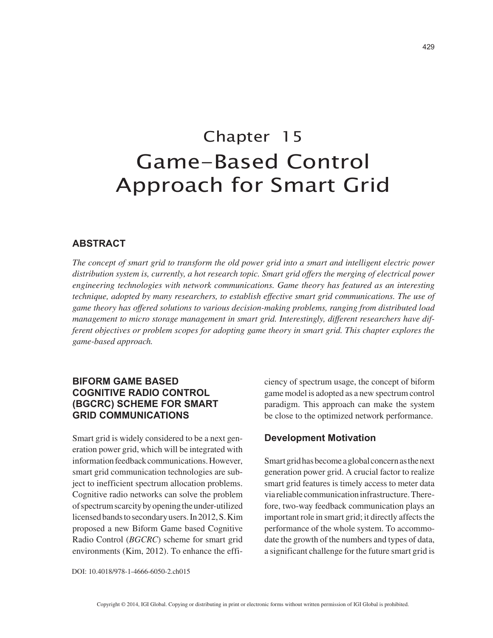# Chapter 15 Game-Based Control Approach for Smart Grid

## **ABSTRACT**

*The concept of smart grid to transform the old power grid into a smart and intelligent electric power distribution system is, currently, a hot research topic. Smart grid offers the merging of electrical power engineering technologies with network communications. Game theory has featured as an interesting technique, adopted by many researchers, to establish effective smart grid communications. The use of game theory has offered solutions to various decision-making problems, ranging from distributed load management to micro storage management in smart grid. Interestingly, different researchers have different objectives or problem scopes for adopting game theory in smart grid. This chapter explores the game-based approach.*

# **BIFORM GAME BASED COGNITIVE RADIO CONTROL (BGCRC) SCHEME FOR SMART GRID COMMUNICATIONS**

Smart grid is widely considered to be a next generation power grid, which will be integrated with information feedback communications. However, smart grid communication technologies are subject to inefficient spectrum allocation problems. Cognitive radio networks can solve the problem of spectrum scarcity by opening the under-utilized licensed bands to secondary users. In 2012, S. Kim proposed a new Biform Game based Cognitive Radio Control (*BGCRC*) scheme for smart grid environments (Kim, 2012). To enhance the effi-

DOI: 10.4018/978-1-4666-6050-2.ch015

ciency of spectrum usage, the concept of biform game model is adopted as a new spectrum control paradigm. This approach can make the system be close to the optimized network performance.

### **Development Motivation**

Smart grid has become a global concern as the next generation power grid. A crucial factor to realize smart grid features is timely access to meter data via reliable communication infrastructure. Therefore, two-way feedback communication plays an important role in smart grid; it directly affects the performance of the whole system. To accommodate the growth of the numbers and types of data, a significant challenge for the future smart grid is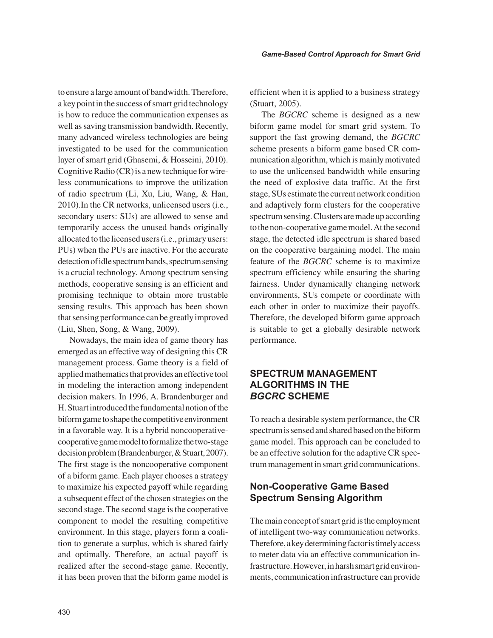to ensure a large amount of bandwidth. Therefore, a key point in the success of smart grid technology is how to reduce the communication expenses as well as saving transmission bandwidth. Recently, many advanced wireless technologies are being investigated to be used for the communication layer of smart grid (Ghasemi, & Hosseini, 2010). Cognitive Radio (CR) is a new technique for wireless communications to improve the utilization of radio spectrum (Li, Xu, Liu, Wang, & Han, 2010).In the CR networks, unlicensed users (i.e., secondary users: SUs) are allowed to sense and temporarily access the unused bands originally allocated to the licensed users (i.e., primary users: PUs) when the PUs are inactive. For the accurate detection of idle spectrum bands, spectrum sensing is a crucial technology. Among spectrum sensing methods, cooperative sensing is an efficient and promising technique to obtain more trustable sensing results. This approach has been shown that sensing performance can be greatly improved (Liu, Shen, Song, & Wang, 2009).

Nowadays, the main idea of game theory has emerged as an effective way of designing this CR management process. Game theory is a field of applied mathematics that provides an effective tool in modeling the interaction among independent decision makers. In 1996, A. Brandenburger and H. Stuart introduced the fundamental notion of the biform game to shape the competitive environment in a favorable way. It is a hybrid noncooperativecooperative game model to formalize the two-stage decision problem (Brandenburger, & Stuart, 2007). The first stage is the noncooperative component of a biform game. Each player chooses a strategy to maximize his expected payoff while regarding a subsequent effect of the chosen strategies on the second stage. The second stage is the cooperative component to model the resulting competitive environment. In this stage, players form a coalition to generate a surplus, which is shared fairly and optimally. Therefore, an actual payoff is realized after the second-stage game. Recently, it has been proven that the biform game model is

efficient when it is applied to a business strategy (Stuart, 2005).

The *BGCRC* scheme is designed as a new biform game model for smart grid system. To support the fast growing demand, the *BGCRC* scheme presents a biform game based CR communication algorithm, which is mainly motivated to use the unlicensed bandwidth while ensuring the need of explosive data traffic. At the first stage, SUs estimate the current network condition and adaptively form clusters for the cooperative spectrum sensing. Clusters are made up according to the non-cooperative game model. At the second stage, the detected idle spectrum is shared based on the cooperative bargaining model. The main feature of the *BGCRC* scheme is to maximize spectrum efficiency while ensuring the sharing fairness. Under dynamically changing network environments, SUs compete or coordinate with each other in order to maximize their payoffs. Therefore, the developed biform game approach is suitable to get a globally desirable network performance.

## **SPECTRUM MANAGEMENT ALGORITHMS IN THE**  *BGCRC* **SCHEME**

To reach a desirable system performance, the CR spectrum is sensed and shared based on the biform game model. This approach can be concluded to be an effective solution for the adaptive CR spectrum management in smart grid communications.

# **Non-Cooperative Game Based Spectrum Sensing Algorithm**

The main concept of smart grid is the employment of intelligent two-way communication networks. Therefore, a key determining factor is timely access to meter data via an effective communication infrastructure. However, in harsh smart grid environments, communication infrastructure can provide